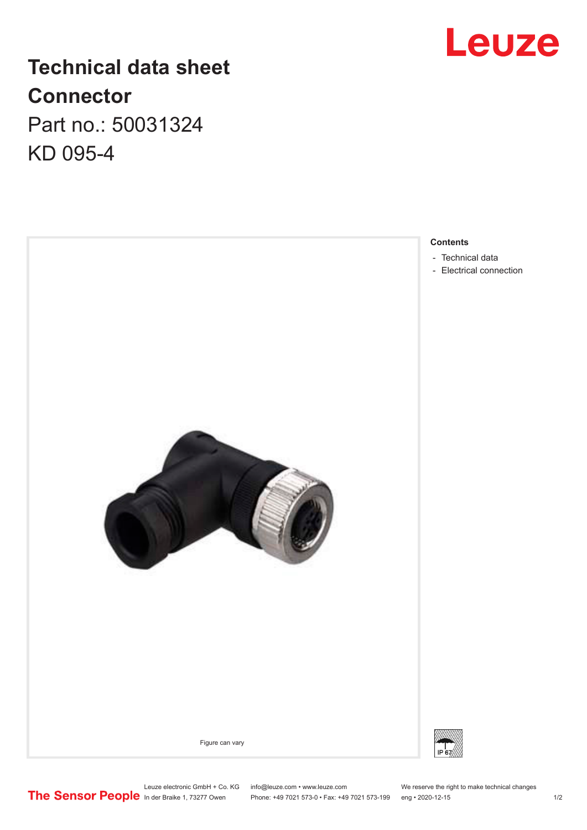# **Leuze**

## **Technical data sheet Connector** Part no.: 50031324

KD 095-4



Leuze electronic GmbH + Co. KG info@leuze.com • www.leuze.com We reserve the right to make technical changes

In der Braike 1, 73277 Owen Phone: +49 7021 573-0 • Fax: +49 7021 573-199 eng • 2020-12-15 1 /2